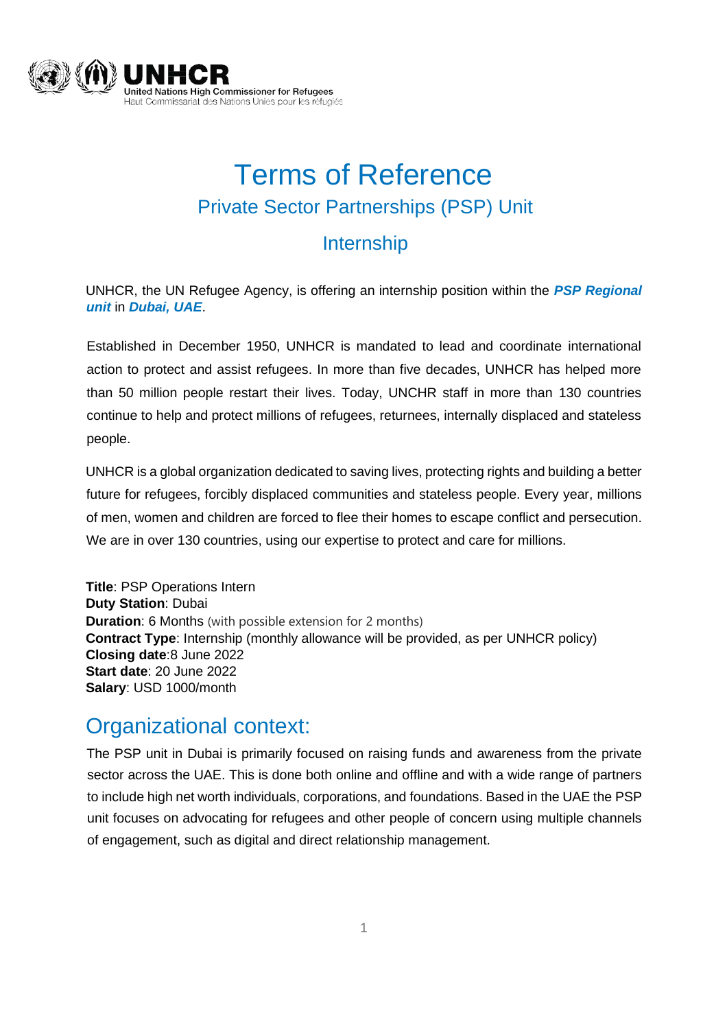

# Terms of Reference Private Sector Partnerships (PSP) Unit

### Internship

UNHCR, the UN Refugee Agency, is offering an internship position within the *PSP Regional unit* in *Dubai, UAE*.

Established in December 1950, UNHCR is mandated to lead and coordinate international action to protect and assist refugees. In more than five decades, UNHCR has helped more than 50 million people restart their lives. Today, UNCHR staff in more than 130 countries continue to help and protect millions of refugees, returnees, internally displaced and stateless people.

UNHCR is a global organization dedicated to saving lives, protecting rights and building a better future for refugees, forcibly displaced communities and stateless people. Every year, millions of men, women and children are forced to flee their homes to escape conflict and persecution. We are in over 130 countries, using our expertise to protect and care for millions.

**Title**: PSP Operations Intern **Duty Station**: Dubai **Duration:** 6 Months (with possible extension for 2 months) **Contract Type**: Internship (monthly allowance will be provided, as per UNHCR policy) **Closing date**:8 June 2022 **Start date**: 20 June 2022 **Salary**: USD 1000/month

### Organizational context:

The PSP unit in Dubai is primarily focused on raising funds and awareness from the private sector across the UAE. This is done both online and offline and with a wide range of partners to include high net worth individuals, corporations, and foundations. Based in the UAE the PSP unit focuses on advocating for refugees and other people of concern using multiple channels of engagement, such as digital and direct relationship management.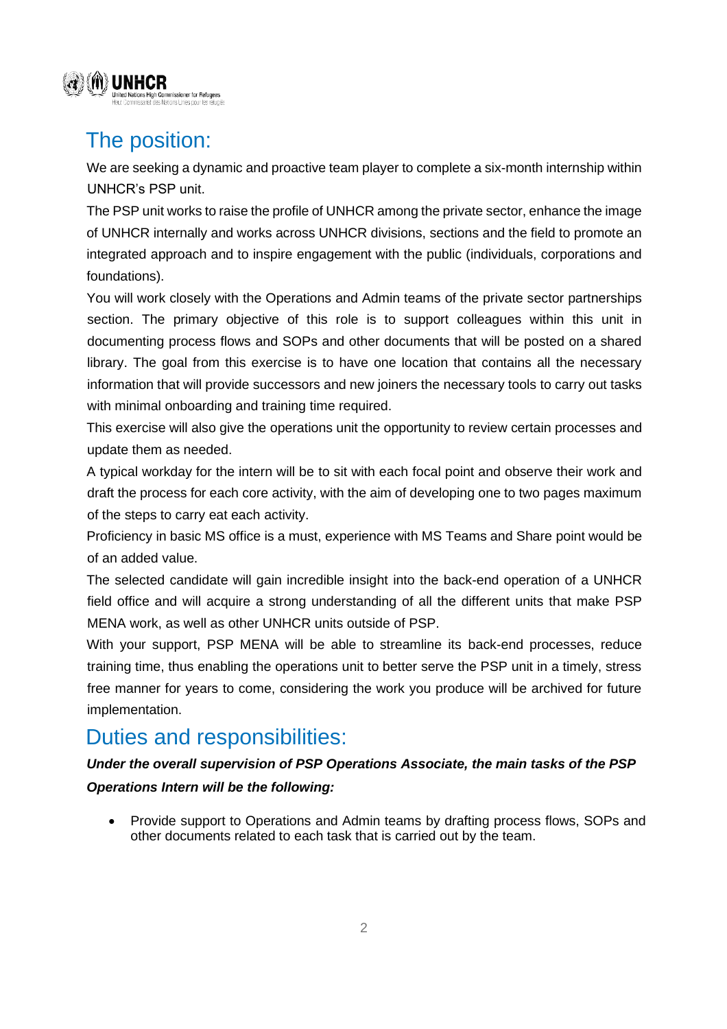

### The position:

We are seeking a dynamic and proactive team player to complete a six-month internship within UNHCR's PSP unit.

The PSP unit works to raise the profile of UNHCR among the private sector, enhance the image of UNHCR internally and works across UNHCR divisions, sections and the field to promote an integrated approach and to inspire engagement with the public (individuals, corporations and foundations).

You will work closely with the Operations and Admin teams of the private sector partnerships section. The primary objective of this role is to support colleagues within this unit in documenting process flows and SOPs and other documents that will be posted on a shared library. The goal from this exercise is to have one location that contains all the necessary information that will provide successors and new joiners the necessary tools to carry out tasks with minimal onboarding and training time required.

This exercise will also give the operations unit the opportunity to review certain processes and update them as needed.

A typical workday for the intern will be to sit with each focal point and observe their work and draft the process for each core activity, with the aim of developing one to two pages maximum of the steps to carry eat each activity.

Proficiency in basic MS office is a must, experience with MS Teams and Share point would be of an added value.

The selected candidate will gain incredible insight into the back-end operation of a UNHCR field office and will acquire a strong understanding of all the different units that make PSP MENA work, as well as other UNHCR units outside of PSP.

With your support, PSP MENA will be able to streamline its back-end processes, reduce training time, thus enabling the operations unit to better serve the PSP unit in a timely, stress free manner for years to come, considering the work you produce will be archived for future implementation.

### Duties and responsibilities:

#### *Under the overall supervision of PSP Operations Associate, the main tasks of the PSP Operations Intern will be the following:*

• Provide support to Operations and Admin teams by drafting process flows, SOPs and other documents related to each task that is carried out by the team.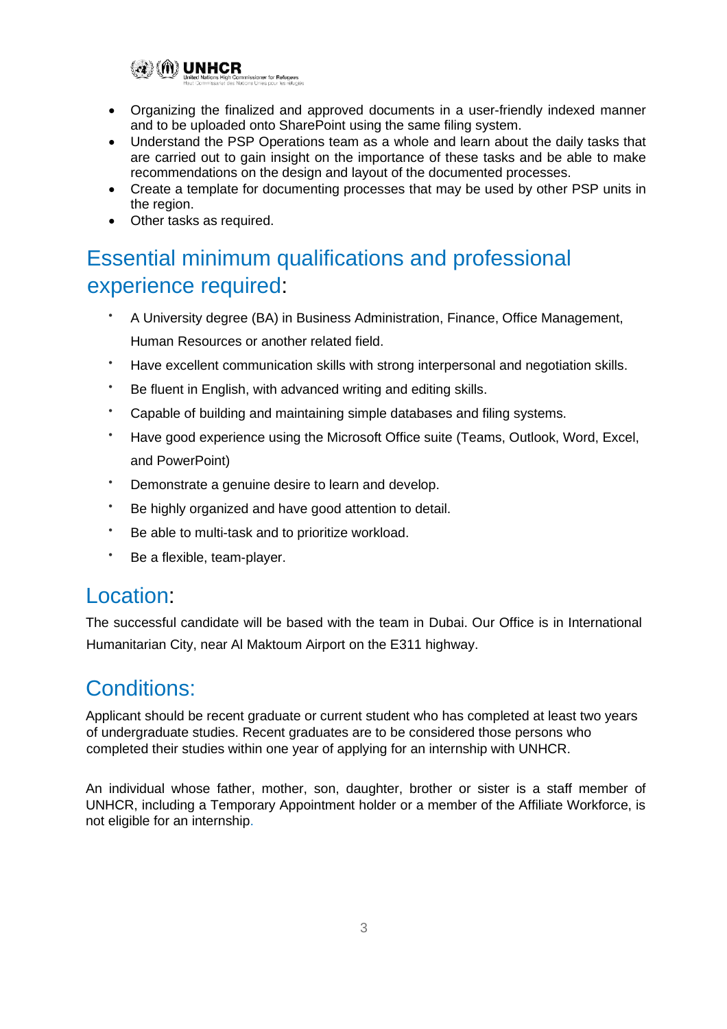**EXAMPLE DINHCR** 

- Organizing the finalized and approved documents in a user-friendly indexed manner and to be uploaded onto SharePoint using the same filing system.
- Understand the PSP Operations team as a whole and learn about the daily tasks that are carried out to gain insight on the importance of these tasks and be able to make recommendations on the design and layout of the documented processes.
- Create a template for documenting processes that may be used by other PSP units in the region.
- Other tasks as required.

## Essential minimum qualifications and professional experience required:

- A University degree (BA) in Business Administration, Finance, Office Management, Human Resources or another related field.
- Have excellent communication skills with strong interpersonal and negotiation skills.
- Be fluent in English, with advanced writing and editing skills.
- Capable of building and maintaining simple databases and filing systems.
- Have good experience using the Microsoft Office suite (Teams, Outlook, Word, Excel, and PowerPoint)
- Demonstrate a genuine desire to learn and develop.
- Be highly organized and have good attention to detail.
- Be able to multi-task and to prioritize workload.
- Be a flexible, team-player.

### Location:

The successful candidate will be based with the team in Dubai. Our Office is in International Humanitarian City, near Al Maktoum Airport on the E311 highway.

### Conditions:

Applicant should be recent graduate or current student who has completed at least two years of undergraduate studies. Recent graduates are to be considered those persons who completed their studies within one year of applying for an internship with UNHCR.

An individual whose father, mother, son, daughter, brother or sister is a staff member of UNHCR, including a Temporary Appointment holder or a member of the Affiliate Workforce, is not eligible for an internship.